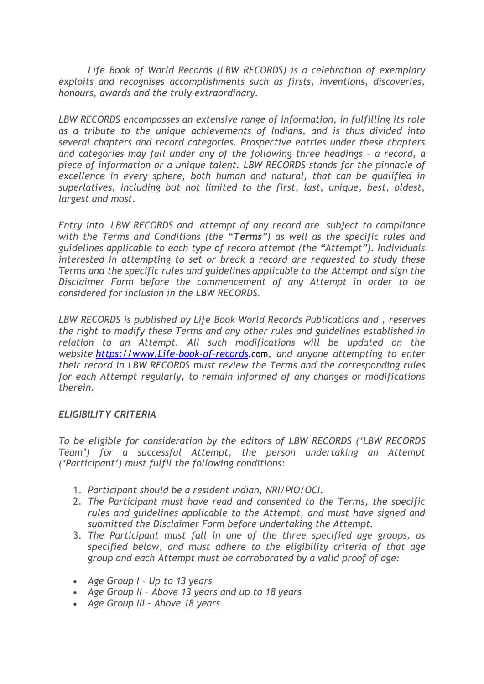*Life Book of World Records (LBW RECORDS) is a celebration of exemplary exploits and recognises accomplishments such as firsts, inventions, discoveries, honours, awards and the truly extraordinary.*

*LBW RECORDS encompasses an extensive range of information, in fulfilling its role as a tribute to the unique achievements of Indians, and is thus divided into several chapters and record categories. Prospective entries under these chapters and categories may fall under any of the following three headings – a record, a piece of information or a unique talent. LBW RECORDS stands for the pinnacle of excellence in every sphere, both human and natural, that can be qualified in superlatives, including but not limited to the first, last, unique, best, oldest, largest and most.*

*Entry into LBW RECORDS and attempt of any record are subject to compliance with the Terms and Conditions (the "Terms") as well as the specific rules and guidelines applicable to each type of record attempt (the "Attempt"). Individuals interested in attempting to set or break a record are requested to study these Terms and the specific rules and guidelines applicable to the Attempt and sign the Disclaimer Form before the commencement of any Attempt in order to be considered for inclusion in the LBW RECORDS.*

*LBW RECORDS is published by Life Book World Records Publications and , reserves the right to modify these Terms and any other rules and guidelines established in relation to an Attempt. All such modifications will be updated on the website [https://www.Life-book-of-records](https://www.life-book-of-records/)*.com*, and anyone attempting to enter their record in LBW RECORDS must review the Terms and the corresponding rules for each Attempt regularly, to remain informed of any changes or modifications therein.*

#### *ELIGIBILITY CRITERIA*

*To be eligible for consideration by the editors of LBW RECORDS ('LBW RECORDS Team') for a successful Attempt, the person undertaking an Attempt ('Participant') must fulfil the following conditions:*

- 1. *Participant should be a resident Indian, NRI/PIO/OCI.*
- 2. *The Participant must have read and consented to the Terms, the specific rules and guidelines applicable to the Attempt, and must have signed and submitted the Disclaimer Form before undertaking the Attempt.*
- 3. *The Participant must fall in one of the three specified age groups, as specified below, and must adhere to the eligibility criteria of that age group and each Attempt must be corroborated by a valid proof of age:*
- *Age Group I – Up to 13 years*
- *Age Group II – Above 13 years and up to 18 years*
- *Age Group III – Above 18 years*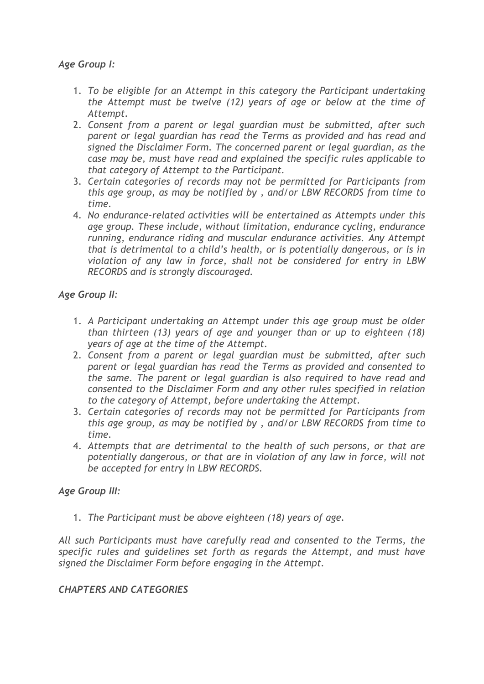# *Age Group I:*

- 1. *To be eligible for an Attempt in this category the Participant undertaking the Attempt must be twelve (12) years of age or below at the time of Attempt.*
- 2. *Consent from a parent or legal guardian must be submitted, after such parent or legal guardian has read the Terms as provided and has read and signed the Disclaimer Form. The concerned parent or legal guardian, as the case may be, must have read and explained the specific rules applicable to that category of Attempt to the Participant.*
- 3. *Certain categories of records may not be permitted for Participants from this age group, as may be notified by , and/or LBW RECORDS from time to time.*
- 4. *No endurance-related activities will be entertained as Attempts under this age group. These include, without limitation, endurance cycling, endurance running, endurance riding and muscular endurance activities. Any Attempt that is detrimental to a child's health, or is potentially dangerous, or is in violation of any law in force, shall not be considered for entry in LBW RECORDS and is strongly discouraged.*

# *Age Group II:*

- 1. *A Participant undertaking an Attempt under this age group must be older than thirteen (13) years of age and younger than or up to eighteen (18) years of age at the time of the Attempt.*
- 2. *Consent from a parent or legal guardian must be submitted, after such parent or legal guardian has read the Terms as provided and consented to the same. The parent or legal guardian is also required to have read and consented to the Disclaimer Form and any other rules specified in relation to the category of Attempt, before undertaking the Attempt.*
- 3. *Certain categories of records may not be permitted for Participants from this age group, as may be notified by , and/or LBW RECORDS from time to time.*
- 4. *Attempts that are detrimental to the health of such persons, or that are potentially dangerous, or that are in violation of any law in force, will not be accepted for entry in LBW RECORDS.*

# *Age Group III:*

1. *The Participant must be above eighteen (18) years of age.*

*All such Participants must have carefully read and consented to the Terms, the specific rules and guidelines set forth as regards the Attempt, and must have signed the Disclaimer Form before engaging in the Attempt.*

## *CHAPTERS AND CATEGORIES*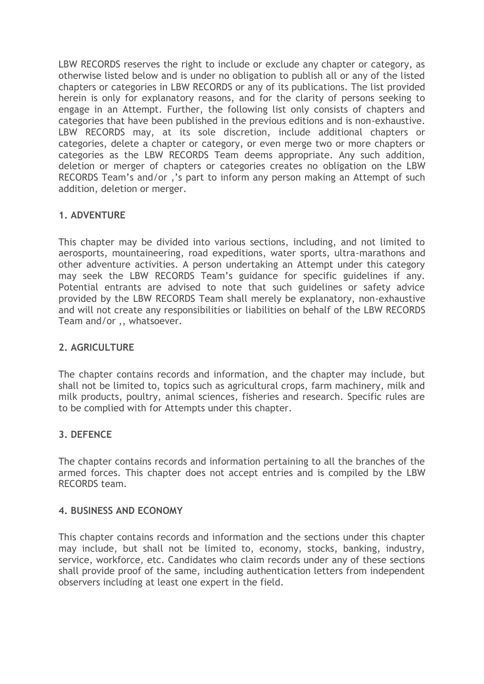LBW RECORDS reserves the right to include or exclude any chapter or category, as otherwise listed below and is under no obligation to publish all or any of the listed chapters or categories in LBW RECORDS or any of its publications. The list provided herein is only for explanatory reasons, and for the clarity of persons seeking to engage in an Attempt. Further, the following list only consists of chapters and categories that have been published in the previous editions and is non-exhaustive. LBW RECORDS may, at its sole discretion, include additional chapters or categories, delete a chapter or category, or even merge two or more chapters or categories as the LBW RECORDS Team deems appropriate. Any such addition, deletion or merger of chapters or categories creates no obligation on the LBW RECORDS Team's and/or ,'s part to inform any person making an Attempt of such addition, deletion or merger.

# **1. ADVENTURE**

This chapter may be divided into various sections, including, and not limited to aerosports, mountaineering, road expeditions, water sports, ultra-marathons and other adventure activities. A person undertaking an Attempt under this category may seek the LBW RECORDS Team's guidance for specific guidelines if any. Potential entrants are advised to note that such guidelines or safety advice provided by the LBW RECORDS Team shall merely be explanatory, non-exhaustive and will not create any responsibilities or liabilities on behalf of the LBW RECORDS Team and/or ,, whatsoever.

# **2. AGRICULTURE**

The chapter contains records and information, and the chapter may include, but shall not be limited to, topics such as agricultural crops, farm machinery, milk and milk products, poultry, animal sciences, fisheries and research. Specific rules are to be complied with for Attempts under this chapter.

# **3. DEFENCE**

The chapter contains records and information pertaining to all the branches of the armed forces. This chapter does not accept entries and is compiled by the LBW RECORDS team.

# **4. BUSINESS AND ECONOMY**

This chapter contains records and information and the sections under this chapter may include, but shall not be limited to, economy, stocks, banking, industry, service, workforce, etc. Candidates who claim records under any of these sections shall provide proof of the same, including authentication letters from independent observers including at least one expert in the field.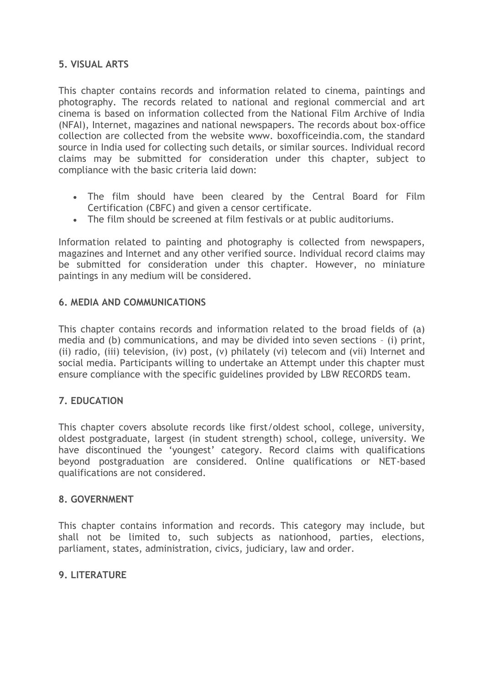# **5. VISUAL ARTS**

This chapter contains records and information related to cinema, paintings and photography. The records related to national and regional commercial and art cinema is based on information collected from the National Film Archive of India (NFAI), Internet, magazines and national newspapers. The records about box-office collection are collected from the website www. boxofficeindia.com, the standard source in India used for collecting such details, or similar sources. Individual record claims may be submitted for consideration under this chapter, subject to compliance with the basic criteria laid down:

- The film should have been cleared by the Central Board for Film Certification (CBFC) and given a censor certificate.
- The film should be screened at film festivals or at public auditoriums.

Information related to painting and photography is collected from newspapers, magazines and Internet and any other verified source. Individual record claims may be submitted for consideration under this chapter. However, no miniature paintings in any medium will be considered.

## **6. MEDIA AND COMMUNICATIONS**

This chapter contains records and information related to the broad fields of (a) media and (b) communications, and may be divided into seven sections – (i) print, (ii) radio, (iii) television, (iv) post, (v) philately (vi) telecom and (vii) Internet and social media. Participants willing to undertake an Attempt under this chapter must ensure compliance with the specific guidelines provided by LBW RECORDS team.

## **7. EDUCATION**

This chapter covers absolute records like first/oldest school, college, university, oldest postgraduate, largest (in student strength) school, college, university. We have discontinued the 'youngest' category. Record claims with qualifications beyond postgraduation are considered. Online qualifications or NET-based qualifications are not considered.

## **8. GOVERNMENT**

This chapter contains information and records. This category may include, but shall not be limited to, such subjects as nationhood, parties, elections, parliament, states, administration, civics, judiciary, law and order.

## **9. LITERATURE**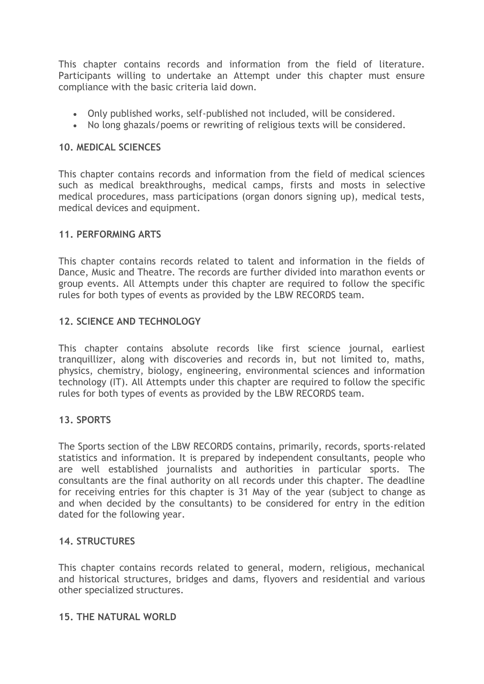This chapter contains records and information from the field of literature. Participants willing to undertake an Attempt under this chapter must ensure compliance with the basic criteria laid down.

- Only published works, self-published not included, will be considered.
- No long ghazals/poems or rewriting of religious texts will be considered.

## **10. MEDICAL SCIENCES**

This chapter contains records and information from the field of medical sciences such as medical breakthroughs, medical camps, firsts and mosts in selective medical procedures, mass participations (organ donors signing up), medical tests, medical devices and equipment.

#### **11. PERFORMING ARTS**

This chapter contains records related to talent and information in the fields of Dance, Music and Theatre. The records are further divided into marathon events or group events. All Attempts under this chapter are required to follow the specific rules for both types of events as provided by the LBW RECORDS team.

## **12. SCIENCE AND TECHNOLOGY**

This chapter contains absolute records like first science journal, earliest tranquillizer, along with discoveries and records in, but not limited to, maths, physics, chemistry, biology, engineering, environmental sciences and information technology (IT). All Attempts under this chapter are required to follow the specific rules for both types of events as provided by the LBW RECORDS team.

#### **13. SPORTS**

The Sports section of the LBW RECORDS contains, primarily, records, sports-related statistics and information. It is prepared by independent consultants, people who are well established journalists and authorities in particular sports. The consultants are the final authority on all records under this chapter. The deadline for receiving entries for this chapter is 31 May of the year (subject to change as and when decided by the consultants) to be considered for entry in the edition dated for the following year.

#### **14. STRUCTURES**

This chapter contains records related to general, modern, religious, mechanical and historical structures, bridges and dams, flyovers and residential and various other specialized structures.

#### **15. THE NATURAL WORLD**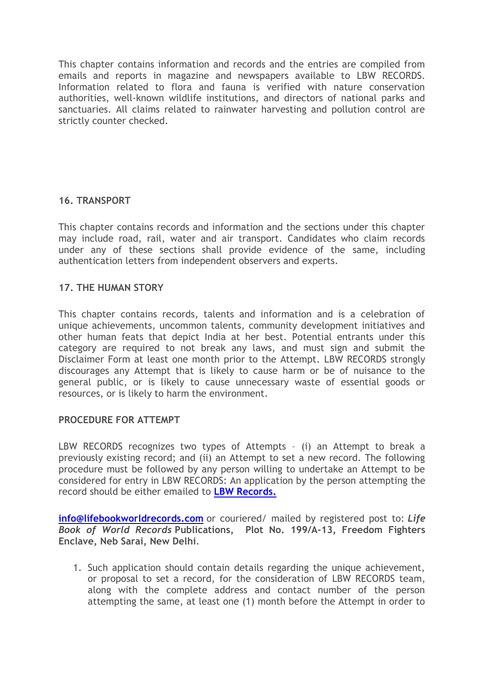This chapter contains information and records and the entries are compiled from emails and reports in magazine and newspapers available to LBW RECORDS. Information related to flora and fauna is verified with nature conservation authorities, well-known wildlife institutions, and directors of national parks and sanctuaries. All claims related to rainwater harvesting and pollution control are strictly counter checked.

# **16. TRANSPORT**

This chapter contains records and information and the sections under this chapter may include road, rail, water and air transport. Candidates who claim records under any of these sections shall provide evidence of the same, including authentication letters from independent observers and experts.

## **17. THE HUMAN STORY**

This chapter contains records, talents and information and is a celebration of unique achievements, uncommon talents, community development initiatives and other human feats that depict India at her best. Potential entrants under this category are required to not break any laws, and must sign and submit the Disclaimer Form at least one month prior to the Attempt. LBW RECORDS strongly discourages any Attempt that is likely to cause harm or be of nuisance to the general public, or is likely to cause unnecessary waste of essential goods or resources, or is likely to harm the environment.

## **PROCEDURE FOR ATTEMPT**

LBW RECORDS recognizes two types of Attempts – (i) an Attempt to break a previously existing record; and (ii) an Attempt to set a new record. The following procedure must be followed by any person willing to undertake an Attempt to be considered for entry in LBW RECORDS: An application by the person attempting the record should be either emailed to **[LBW Records.](mailto:LBW%20Records.info@lifebookworldrecords.com)**

**[info@lifebookworldrecords.com](mailto:LBW%20Records.info@lifebookworldrecords.com)** or couriered/ mailed by registered post to: *Life Book of World Records* **Publications, Plot No. 199/A-13, Freedom Fighters Enclave, Neb Sarai, New Delhi**.

1. Such application should contain details regarding the unique achievement, or proposal to set a record, for the consideration of LBW RECORDS team, along with the complete address and contact number of the person attempting the same, at least one (1) month before the Attempt in order to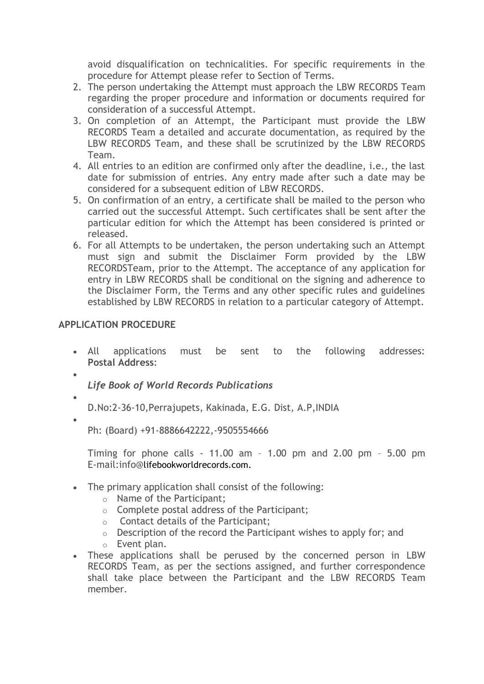avoid disqualification on technicalities. For specific requirements in the procedure for Attempt please refer to Section of Terms.

- 2. The person undertaking the Attempt must approach the LBW RECORDS Team regarding the proper procedure and information or documents required for consideration of a successful Attempt.
- 3. On completion of an Attempt, the Participant must provide the LBW RECORDS Team a detailed and accurate documentation, as required by the LBW RECORDS Team, and these shall be scrutinized by the LBW RECORDS Team.
- 4. All entries to an edition are confirmed only after the deadline, i.e., the last date for submission of entries. Any entry made after such a date may be considered for a subsequent edition of LBW RECORDS.
- 5. On confirmation of an entry, a certificate shall be mailed to the person who carried out the successful Attempt. Such certificates shall be sent after the particular edition for which the Attempt has been considered is printed or released.
- 6. For all Attempts to be undertaken, the person undertaking such an Attempt must sign and submit the Disclaimer Form provided by the LBW RECORDSTeam, prior to the Attempt. The acceptance of any application for entry in LBW RECORDS shall be conditional on the signing and adherence to the Disclaimer Form, the Terms and any other specific rules and guidelines established by LBW RECORDS in relation to a particular category of Attempt.

# **APPLICATION PROCEDURE**

- All applications must be sent to the following addresses: **Postal Address**:
- *Life Book of World Records Publications*
- •

•

D.No:2-36-10,Perrajupets, Kakinada, E.G. Dist, A.P,INDIA

•

Ph: (Board) +91-8886642222,-9505554666

Timing for phone calls - 11.00 am – 1.00 pm and 2.00 pm – 5.00 pm E-mail:info@lifebookworldrecords.com.

- The primary application shall consist of the following:
	- o Name of the Participant;
	- o Complete postal address of the Participant;
	- o Contact details of the Participant;
	- o Description of the record the Participant wishes to apply for; and
	- o Event plan.
- These applications shall be perused by the concerned person in LBW RECORDS Team, as per the sections assigned, and further correspondence shall take place between the Participant and the LBW RECORDS Team member.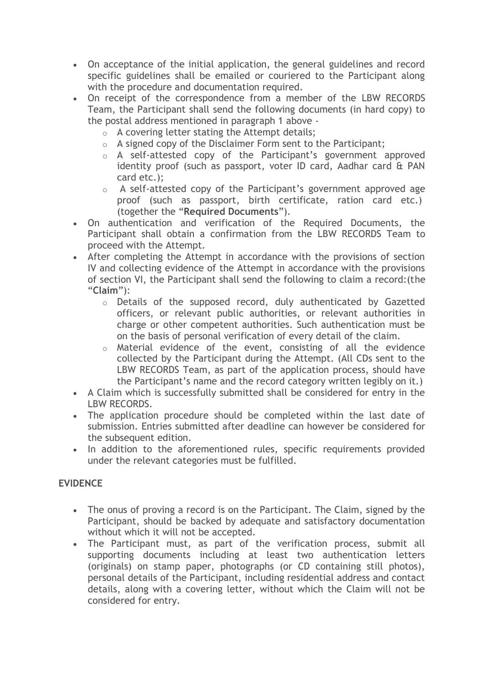- On acceptance of the initial application, the general guidelines and record specific guidelines shall be emailed or couriered to the Participant along with the procedure and documentation required.
- On receipt of the correspondence from a member of the LBW RECORDS Team, the Participant shall send the following documents (in hard copy) to the postal address mentioned in paragraph 1 above -
	- $\circ$  A covering letter stating the Attempt details;
	- o A signed copy of the Disclaimer Form sent to the Participant;
	- o A self-attested copy of the Participant's government approved identity proof (such as passport, voter ID card, Aadhar card & PAN card etc.);
	- o A self-attested copy of the Participant's government approved age proof (such as passport, birth certificate, ration card etc.) (together the "**Required Documents**").
- On authentication and verification of the Required Documents, the Participant shall obtain a confirmation from the LBW RECORDS Team to proceed with the Attempt.
- After completing the Attempt in accordance with the provisions of section IV and collecting evidence of the Attempt in accordance with the provisions of section VI, the Participant shall send the following to claim a record:(the "**Claim**"):
	- o Details of the supposed record, duly authenticated by Gazetted officers, or relevant public authorities, or relevant authorities in charge or other competent authorities. Such authentication must be on the basis of personal verification of every detail of the claim.
	- o Material evidence of the event, consisting of all the evidence collected by the Participant during the Attempt. (All CDs sent to the LBW RECORDS Team, as part of the application process, should have the Participant's name and the record category written legibly on it.)
- A Claim which is successfully submitted shall be considered for entry in the LBW RECORDS.
- The application procedure should be completed within the last date of submission. Entries submitted after deadline can however be considered for the subsequent edition.
- In addition to the aforementioned rules, specific requirements provided under the relevant categories must be fulfilled.

# **EVIDENCE**

- The onus of proving a record is on the Participant. The Claim, signed by the Participant, should be backed by adequate and satisfactory documentation without which it will not be accepted.
- The Participant must, as part of the verification process, submit all supporting documents including at least two authentication letters (originals) on stamp paper, photographs (or CD containing still photos), personal details of the Participant, including residential address and contact details, along with a covering letter, without which the Claim will not be considered for entry.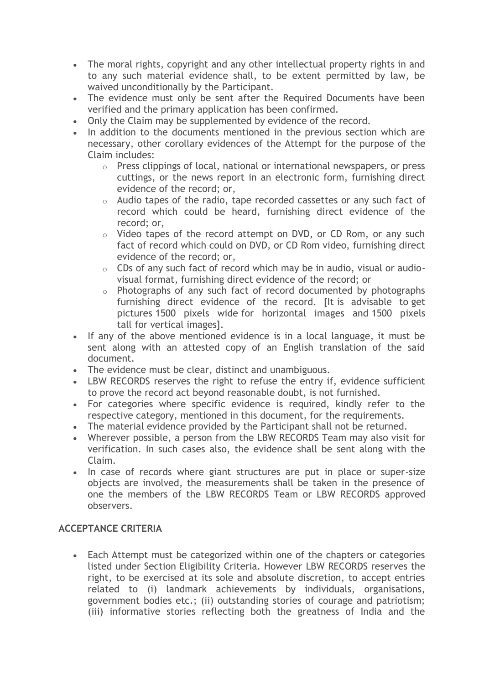- The moral rights, copyright and any other intellectual property rights in and to any such material evidence shall, to be extent permitted by law, be waived unconditionally by the Participant.
- The evidence must only be sent after the Required Documents have been verified and the primary application has been confirmed.
- Only the Claim may be supplemented by evidence of the record.
- In addition to the documents mentioned in the previous section which are necessary, other corollary evidences of the Attempt for the purpose of the Claim includes:
	- o Press clippings of local, national or international newspapers, or press cuttings, or the news report in an electronic form, furnishing direct evidence of the record; or,
	- o Audio tapes of the radio, tape recorded cassettes or any such fact of record which could be heard, furnishing direct evidence of the record; or,
	- $\circ$  Video tapes of the record attempt on DVD, or CD Rom, or any such fact of record which could on DVD, or CD Rom video, furnishing direct evidence of the record; or,
	- o CDs of any such fact of record which may be in audio, visual or audiovisual format, furnishing direct evidence of the record; or
	- o Photographs of any such fact of record documented by photographs furnishing direct evidence of the record. [It is advisable to get pictures 1500 pixels wide for horizontal images and 1500 pixels tall for vertical images].
- If any of the above mentioned evidence is in a local language, it must be sent along with an attested copy of an English translation of the said document.
- The evidence must be clear, distinct and unambiguous.
- LBW RECORDS reserves the right to refuse the entry if, evidence sufficient to prove the record act beyond reasonable doubt, is not furnished.
- For categories where specific evidence is required, kindly refer to the respective category, mentioned in this document, for the requirements.
- The material evidence provided by the Participant shall not be returned.
- Wherever possible, a person from the LBW RECORDS Team may also visit for verification. In such cases also, the evidence shall be sent along with the Claim.
- In case of records where giant structures are put in place or super-size objects are involved, the measurements shall be taken in the presence of one the members of the LBW RECORDS Team or LBW RECORDS approved observers.

# **ACCEPTANCE CRITERIA**

• Each Attempt must be categorized within one of the chapters or categories listed under Section Eligibility Criteria. However LBW RECORDS reserves the right, to be exercised at its sole and absolute discretion, to accept entries related to (i) landmark achievements by individuals, organisations, government bodies etc.; (ii) outstanding stories of courage and patriotism; (iii) informative stories reflecting both the greatness of India and the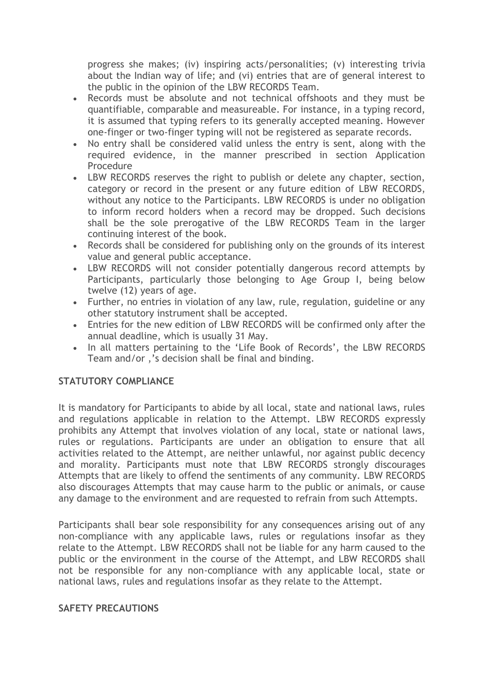progress she makes; (iv) inspiring acts/personalities; (v) interesting trivia about the Indian way of life; and (vi) entries that are of general interest to the public in the opinion of the LBW RECORDS Team.

- Records must be absolute and not technical offshoots and they must be quantifiable, comparable and measureable. For instance, in a typing record, it is assumed that typing refers to its generally accepted meaning. However one-finger or two-finger typing will not be registered as separate records.
- No entry shall be considered valid unless the entry is sent, along with the required evidence, in the manner prescribed in section Application **Procedure**
- LBW RECORDS reserves the right to publish or delete any chapter, section, category or record in the present or any future edition of LBW RECORDS, without any notice to the Participants. LBW RECORDS is under no obligation to inform record holders when a record may be dropped. Such decisions shall be the sole prerogative of the LBW RECORDS Team in the larger continuing interest of the book.
- Records shall be considered for publishing only on the grounds of its interest value and general public acceptance.
- LBW RECORDS will not consider potentially dangerous record attempts by Participants, particularly those belonging to Age Group I, being below twelve (12) years of age.
- Further, no entries in violation of any law, rule, regulation, guideline or any other statutory instrument shall be accepted.
- Entries for the new edition of LBW RECORDS will be confirmed only after the annual deadline, which is usually 31 May.
- In all matters pertaining to the 'Life Book of Records', the LBW RECORDS Team and/or ,'s decision shall be final and binding.

# **STATUTORY COMPLIANCE**

It is mandatory for Participants to abide by all local, state and national laws, rules and regulations applicable in relation to the Attempt. LBW RECORDS expressly prohibits any Attempt that involves violation of any local, state or national laws, rules or regulations. Participants are under an obligation to ensure that all activities related to the Attempt, are neither unlawful, nor against public decency and morality. Participants must note that LBW RECORDS strongly discourages Attempts that are likely to offend the sentiments of any community. LBW RECORDS also discourages Attempts that may cause harm to the public or animals, or cause any damage to the environment and are requested to refrain from such Attempts.

Participants shall bear sole responsibility for any consequences arising out of any non-compliance with any applicable laws, rules or regulations insofar as they relate to the Attempt. LBW RECORDS shall not be liable for any harm caused to the public or the environment in the course of the Attempt, and LBW RECORDS shall not be responsible for any non-compliance with any applicable local, state or national laws, rules and regulations insofar as they relate to the Attempt.

## **SAFETY PRECAUTIONS**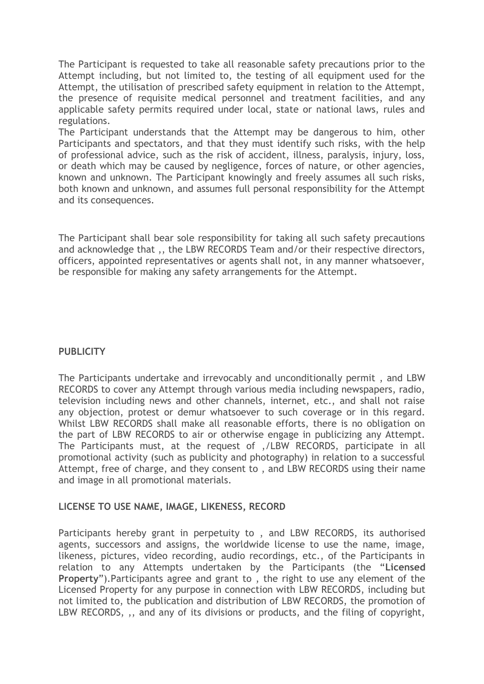The Participant is requested to take all reasonable safety precautions prior to the Attempt including, but not limited to, the testing of all equipment used for the Attempt, the utilisation of prescribed safety equipment in relation to the Attempt, the presence of requisite medical personnel and treatment facilities, and any applicable safety permits required under local, state or national laws, rules and regulations.

The Participant understands that the Attempt may be dangerous to him, other Participants and spectators, and that they must identify such risks, with the help of professional advice, such as the risk of accident, illness, paralysis, injury, loss, or death which may be caused by negligence, forces of nature, or other agencies, known and unknown. The Participant knowingly and freely assumes all such risks, both known and unknown, and assumes full personal responsibility for the Attempt and its consequences.

The Participant shall bear sole responsibility for taking all such safety precautions and acknowledge that ,, the LBW RECORDS Team and/or their respective directors, officers, appointed representatives or agents shall not, in any manner whatsoever, be responsible for making any safety arrangements for the Attempt.

# **PUBLICITY**

The Participants undertake and irrevocably and unconditionally permit , and LBW RECORDS to cover any Attempt through various media including newspapers, radio, television including news and other channels, internet, etc., and shall not raise any objection, protest or demur whatsoever to such coverage or in this regard. Whilst LBW RECORDS shall make all reasonable efforts, there is no obligation on the part of LBW RECORDS to air or otherwise engage in publicizing any Attempt. The Participants must, at the request of ,/LBW RECORDS, participate in all promotional activity (such as publicity and photography) in relation to a successful Attempt, free of charge, and they consent to , and LBW RECORDS using their name and image in all promotional materials.

## **LICENSE TO USE NAME, IMAGE, LIKENESS, RECORD**

Participants hereby grant in perpetuity to , and LBW RECORDS, its authorised agents, successors and assigns, the worldwide license to use the name, image, likeness, pictures, video recording, audio recordings, etc., of the Participants in relation to any Attempts undertaken by the Participants (the "**Licensed Property**").Participants agree and grant to , the right to use any element of the Licensed Property for any purpose in connection with LBW RECORDS, including but not limited to, the publication and distribution of LBW RECORDS, the promotion of LBW RECORDS, ,, and any of its divisions or products, and the filing of copyright,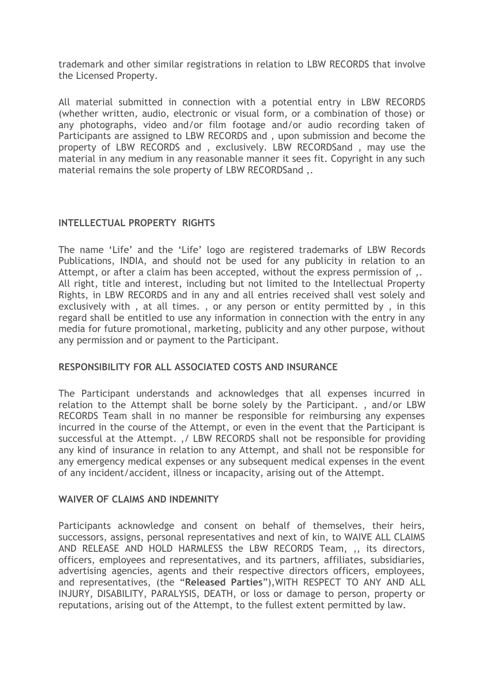trademark and other similar registrations in relation to LBW RECORDS that involve the Licensed Property.

All material submitted in connection with a potential entry in LBW RECORDS (whether written, audio, electronic or visual form, or a combination of those) or any photographs, video and/or film footage and/or audio recording taken of Participants are assigned to LBW RECORDS and , upon submission and become the property of LBW RECORDS and , exclusively. LBW RECORDSand , may use the material in any medium in any reasonable manner it sees fit. Copyright in any such material remains the sole property of LBW RECORDSand ,.

# **INTELLECTUAL PROPERTY RIGHTS**

The name 'Life' and the 'Life' logo are registered trademarks of LBW Records Publications, INDIA, and should not be used for any publicity in relation to an Attempt, or after a claim has been accepted, without the express permission of ,. All right, title and interest, including but not limited to the Intellectual Property Rights, in LBW RECORDS and in any and all entries received shall vest solely and exclusively with , at all times. , or any person or entity permitted by , in this regard shall be entitled to use any information in connection with the entry in any media for future promotional, marketing, publicity and any other purpose, without any permission and or payment to the Participant.

## **RESPONSIBILITY FOR ALL ASSOCIATED COSTS AND INSURANCE**

The Participant understands and acknowledges that all expenses incurred in relation to the Attempt shall be borne solely by the Participant. , and/or LBW RECORDS Team shall in no manner be responsible for reimbursing any expenses incurred in the course of the Attempt, or even in the event that the Participant is successful at the Attempt. ,/ LBW RECORDS shall not be responsible for providing any kind of insurance in relation to any Attempt, and shall not be responsible for any emergency medical expenses or any subsequent medical expenses in the event of any incident/accident, illness or incapacity, arising out of the Attempt.

## **WAIVER OF CLAIMS AND INDEMNITY**

Participants acknowledge and consent on behalf of themselves, their heirs, successors, assigns, personal representatives and next of kin, to WAIVE ALL CLAIMS AND RELEASE AND HOLD HARMLESS the LBW RECORDS Team, ,, its directors, officers, employees and representatives, and its partners, affiliates, subsidiaries, advertising agencies, agents and their respective directors officers, employees, and representatives, (the "**Released Parties**"),WITH RESPECT TO ANY AND ALL INJURY, DISABILITY, PARALYSIS, DEATH, or loss or damage to person, property or reputations, arising out of the Attempt, to the fullest extent permitted by law.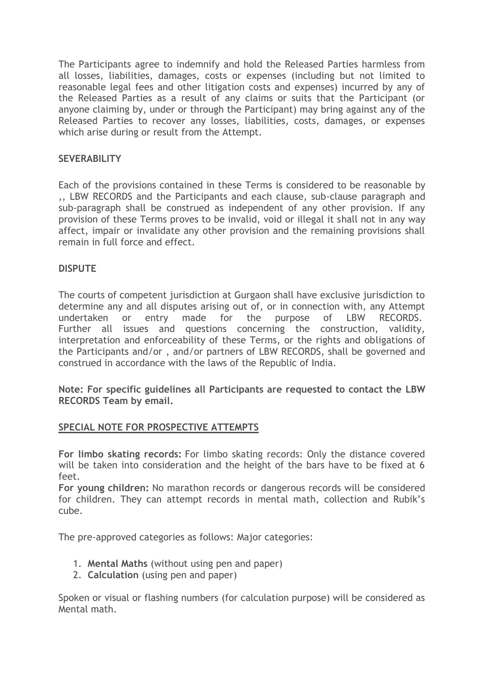The Participants agree to indemnify and hold the Released Parties harmless from all losses, liabilities, damages, costs or expenses (including but not limited to reasonable legal fees and other litigation costs and expenses) incurred by any of the Released Parties as a result of any claims or suits that the Participant (or anyone claiming by, under or through the Participant) may bring against any of the Released Parties to recover any losses, liabilities, costs, damages, or expenses which arise during or result from the Attempt.

# **SEVERABILITY**

Each of the provisions contained in these Terms is considered to be reasonable by ,, LBW RECORDS and the Participants and each clause, sub-clause paragraph and sub-paragraph shall be construed as independent of any other provision. If any provision of these Terms proves to be invalid, void or illegal it shall not in any way affect, impair or invalidate any other provision and the remaining provisions shall remain in full force and effect.

# **DISPUTE**

The courts of competent jurisdiction at Gurgaon shall have exclusive jurisdiction to determine any and all disputes arising out of, or in connection with, any Attempt undertaken or entry made for the purpose of LBW RECORDS. Further all issues and questions concerning the construction, validity, interpretation and enforceability of these Terms, or the rights and obligations of the Participants and/or , and/or partners of LBW RECORDS, shall be governed and construed in accordance with the laws of the Republic of India.

**Note: For specific guidelines all Participants are requested to contact the LBW RECORDS Team by email.**

## **SPECIAL NOTE FOR PROSPECTIVE ATTEMPTS**

**For limbo skating records:** For limbo skating records: Only the distance covered will be taken into consideration and the height of the bars have to be fixed at 6 feet.

**For young children:** No marathon records or dangerous records will be considered for children. They can attempt records in mental math, collection and Rubik's cube.

The pre-approved categories as follows: Major categories:

- 1. **Mental Maths** (without using pen and paper)
- 2. **Calculation** (using pen and paper)

Spoken or visual or flashing numbers (for calculation purpose) will be considered as Mental math.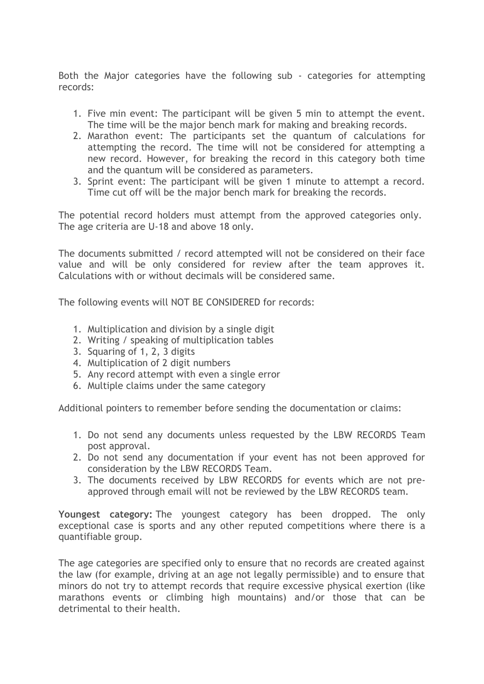Both the Major categories have the following sub - categories for attempting records:

- 1. Five min event: The participant will be given 5 min to attempt the event. The time will be the major bench mark for making and breaking records.
- 2. Marathon event: The participants set the quantum of calculations for attempting the record. The time will not be considered for attempting a new record. However, for breaking the record in this category both time and the quantum will be considered as parameters.
- 3. Sprint event: The participant will be given 1 minute to attempt a record. Time cut off will be the major bench mark for breaking the records.

The potential record holders must attempt from the approved categories only. The age criteria are U-18 and above 18 only.

The documents submitted / record attempted will not be considered on their face value and will be only considered for review after the team approves it. Calculations with or without decimals will be considered same.

The following events will NOT BE CONSIDERED for records:

- 1. Multiplication and division by a single digit
- 2. Writing / speaking of multiplication tables
- 3. Squaring of 1, 2, 3 digits
- 4. Multiplication of 2 digit numbers
- 5. Any record attempt with even a single error
- 6. Multiple claims under the same category

Additional pointers to remember before sending the documentation or claims:

- 1. Do not send any documents unless requested by the LBW RECORDS Team post approval.
- 2. Do not send any documentation if your event has not been approved for consideration by the LBW RECORDS Team.
- 3. The documents received by LBW RECORDS for events which are not preapproved through email will not be reviewed by the LBW RECORDS team.

**Youngest category:** The youngest category has been dropped. The only exceptional case is sports and any other reputed competitions where there is a quantifiable group.

The age categories are specified only to ensure that no records are created against the law (for example, driving at an age not legally permissible) and to ensure that minors do not try to attempt records that require excessive physical exertion (like marathons events or climbing high mountains) and/or those that can be detrimental to their health.